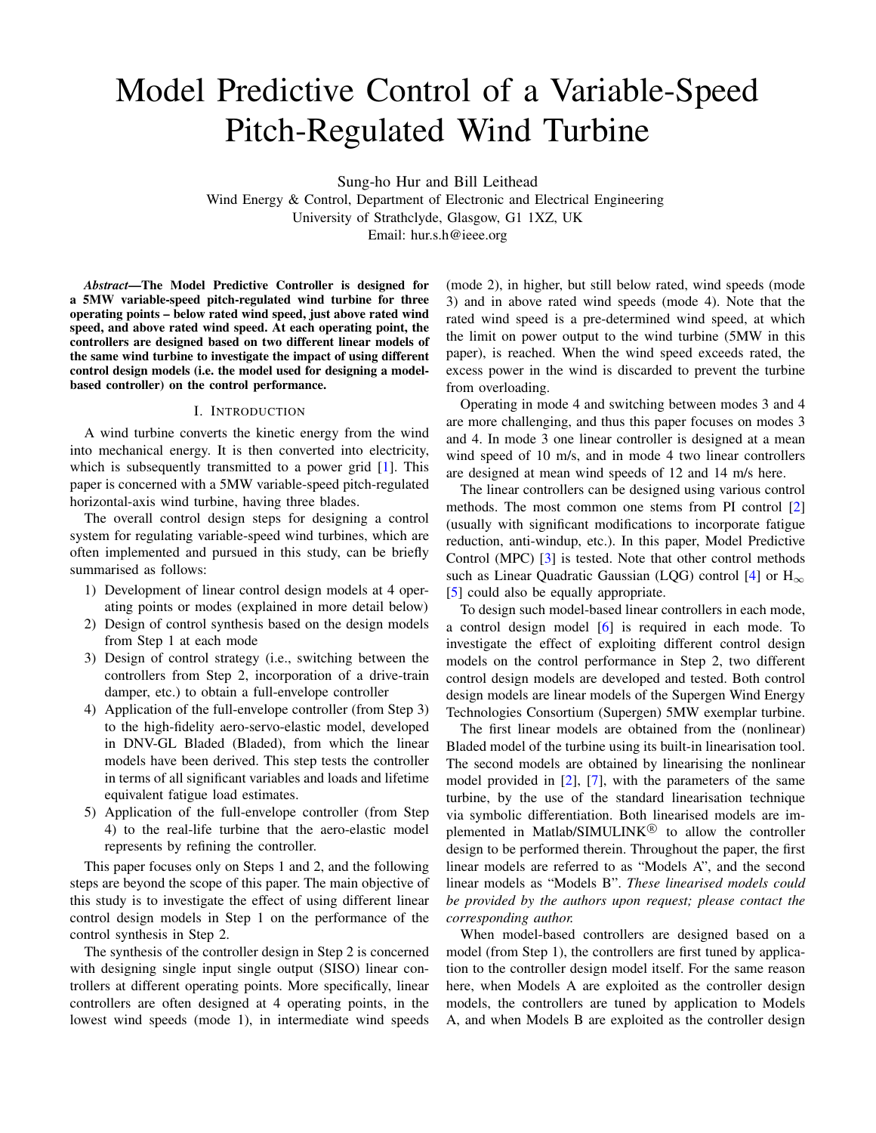# Model Predictive Control of a Variable-Speed Pitch-Regulated Wind Turbine

Sung-ho Hur and Bill Leithead

Wind Energy & Control, Department of Electronic and Electrical Engineering University of Strathclyde, Glasgow, G1 1XZ, UK Email: hur.s.h@ieee.org

*Abstract*—The Model Predictive Controller is designed for a 5MW variable-speed pitch-regulated wind turbine for three operating points – below rated wind speed, just above rated wind speed, and above rated wind speed. At each operating point, the controllers are designed based on two different linear models of the same wind turbine to investigate the impact of using different control design models (i.e. the model used for designing a modelbased controller) on the control performance.

### I. INTRODUCTION

A wind turbine converts the kinetic energy from the wind into mechanical energy. It is then converted into electricity, which is subsequently transmitted to a power grid [\[1\]](#page-5-0). This paper is concerned with a 5MW variable-speed pitch-regulated horizontal-axis wind turbine, having three blades.

The overall control design steps for designing a control system for regulating variable-speed wind turbines, which are often implemented and pursued in this study, can be briefly summarised as follows:

- 1) Development of linear control design models at 4 operating points or modes (explained in more detail below)
- 2) Design of control synthesis based on the design models from Step 1 at each mode
- 3) Design of control strategy (i.e., switching between the controllers from Step 2, incorporation of a drive-train damper, etc.) to obtain a full-envelope controller
- 4) Application of the full-envelope controller (from Step 3) to the high-fidelity aero-servo-elastic model, developed in DNV-GL Bladed (Bladed), from which the linear models have been derived. This step tests the controller in terms of all significant variables and loads and lifetime equivalent fatigue load estimates.
- 5) Application of the full-envelope controller (from Step 4) to the real-life turbine that the aero-elastic model represents by refining the controller.

This paper focuses only on Steps 1 and 2, and the following steps are beyond the scope of this paper. The main objective of this study is to investigate the effect of using different linear control design models in Step 1 on the performance of the control synthesis in Step 2.

The synthesis of the controller design in Step 2 is concerned with designing single input single output (SISO) linear controllers at different operating points. More specifically, linear controllers are often designed at 4 operating points, in the lowest wind speeds (mode 1), in intermediate wind speeds (mode 2), in higher, but still below rated, wind speeds (mode 3) and in above rated wind speeds (mode 4). Note that the rated wind speed is a pre-determined wind speed, at which the limit on power output to the wind turbine (5MW in this paper), is reached. When the wind speed exceeds rated, the excess power in the wind is discarded to prevent the turbine from overloading.

Operating in mode 4 and switching between modes 3 and 4 are more challenging, and thus this paper focuses on modes 3 and 4. In mode 3 one linear controller is designed at a mean wind speed of 10 m/s, and in mode 4 two linear controllers are designed at mean wind speeds of 12 and 14 m/s here.

The linear controllers can be designed using various control methods. The most common one stems from PI control [\[2\]](#page-5-1) (usually with significant modifications to incorporate fatigue reduction, anti-windup, etc.). In this paper, Model Predictive Control (MPC) [\[3\]](#page-5-2) is tested. Note that other control methods such as Linear Quadratic Gaussian (LQG) control [\[4\]](#page-5-3) or  $H_{\infty}$ [\[5\]](#page-5-4) could also be equally appropriate.

To design such model-based linear controllers in each mode, a control design model [\[6\]](#page-5-5) is required in each mode. To investigate the effect of exploiting different control design models on the control performance in Step 2, two different control design models are developed and tested. Both control design models are linear models of the Supergen Wind Energy Technologies Consortium (Supergen) 5MW exemplar turbine.

The first linear models are obtained from the (nonlinear) Bladed model of the turbine using its built-in linearisation tool. The second models are obtained by linearising the nonlinear model provided in [\[2\]](#page-5-1), [\[7\]](#page-5-6), with the parameters of the same turbine, by the use of the standard linearisation technique via symbolic differentiation. Both linearised models are implemented in Matlab/SIMULINK<sup>®</sup> to allow the controller design to be performed therein. Throughout the paper, the first linear models are referred to as "Models A", and the second linear models as "Models B". *These linearised models could be provided by the authors upon request; please contact the corresponding author.*

When model-based controllers are designed based on a model (from Step 1), the controllers are first tuned by application to the controller design model itself. For the same reason here, when Models A are exploited as the controller design models, the controllers are tuned by application to Models A, and when Models B are exploited as the controller design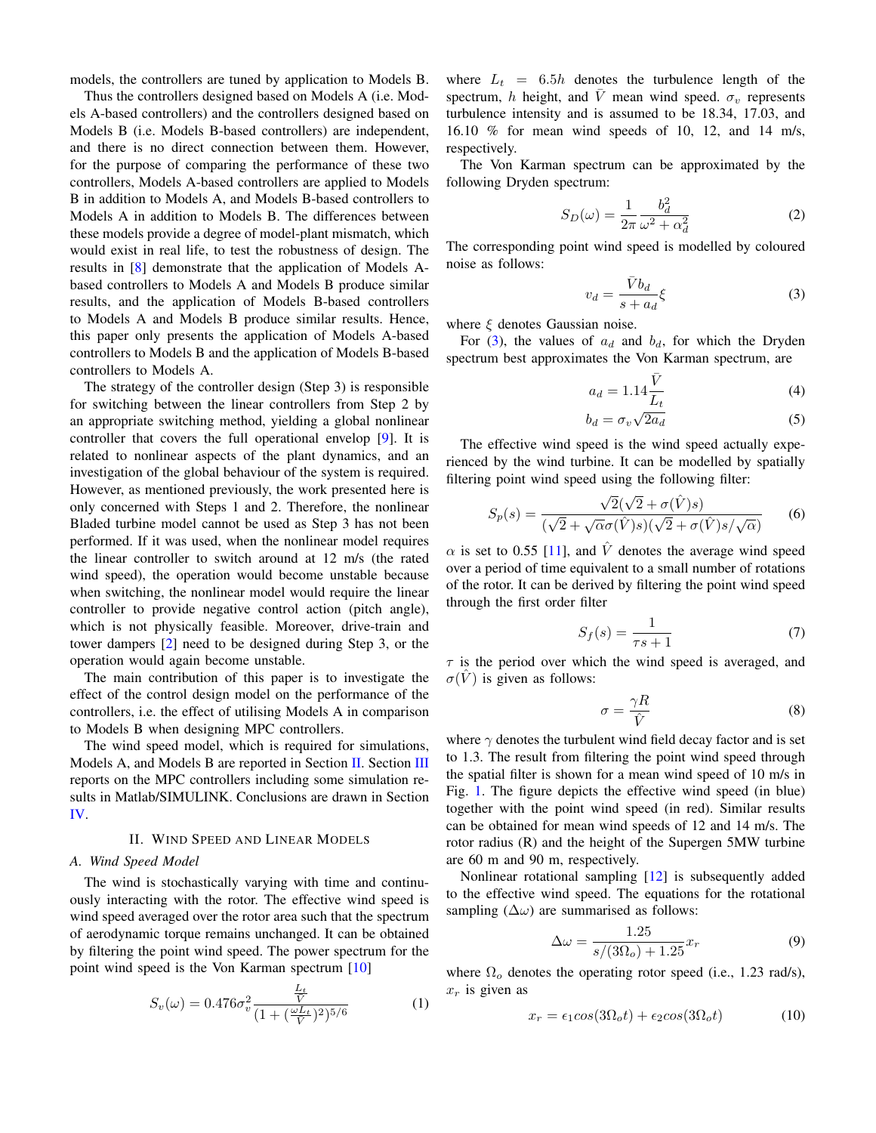models, the controllers are tuned by application to Models B.

Thus the controllers designed based on Models A (i.e. Models A-based controllers) and the controllers designed based on Models B (i.e. Models B-based controllers) are independent, and there is no direct connection between them. However, for the purpose of comparing the performance of these two controllers, Models A-based controllers are applied to Models B in addition to Models A, and Models B-based controllers to Models A in addition to Models B. The differences between these models provide a degree of model-plant mismatch, which would exist in real life, to test the robustness of design. The results in [\[8\]](#page-5-7) demonstrate that the application of Models Abased controllers to Models A and Models B produce similar results, and the application of Models B-based controllers to Models A and Models B produce similar results. Hence, this paper only presents the application of Models A-based controllers to Models B and the application of Models B-based controllers to Models A.

The strategy of the controller design (Step 3) is responsible for switching between the linear controllers from Step 2 by an appropriate switching method, yielding a global nonlinear controller that covers the full operational envelop [\[9\]](#page-5-8). It is related to nonlinear aspects of the plant dynamics, and an investigation of the global behaviour of the system is required. However, as mentioned previously, the work presented here is only concerned with Steps 1 and 2. Therefore, the nonlinear Bladed turbine model cannot be used as Step 3 has not been performed. If it was used, when the nonlinear model requires the linear controller to switch around at 12 m/s (the rated wind speed), the operation would become unstable because when switching, the nonlinear model would require the linear controller to provide negative control action (pitch angle), which is not physically feasible. Moreover, drive-train and tower dampers [\[2\]](#page-5-1) need to be designed during Step 3, or the operation would again become unstable.

The main contribution of this paper is to investigate the effect of the control design model on the performance of the controllers, i.e. the effect of utilising Models A in comparison to Models B when designing MPC controllers.

The wind speed model, which is required for simulations, Models A, and Models B are reported in Section [II.](#page-1-0) Section [III](#page-3-0) reports on the MPC controllers including some simulation results in Matlab/SIMULINK. Conclusions are drawn in Section [IV.](#page-5-9)

# II. WIND SPEED AND LINEAR MODELS

# <span id="page-1-0"></span>*A. Wind Speed Model*

The wind is stochastically varying with time and continuously interacting with the rotor. The effective wind speed is wind speed averaged over the rotor area such that the spectrum of aerodynamic torque remains unchanged. It can be obtained by filtering the point wind speed. The power spectrum for the point wind speed is the Von Karman spectrum [\[10\]](#page-5-10)

$$
S_v(\omega) = 0.476 \sigma_v^2 \frac{\frac{L_t}{V}}{(1 + (\frac{\omega L_t}{\tilde{V}})^2)^{5/6}} \tag{1}
$$

where  $L_t = 6.5h$  denotes the turbulence length of the spectrum, h height, and  $\overline{V}$  mean wind speed.  $\sigma_v$  represents turbulence intensity and is assumed to be 18.34, 17.03, and 16.10 % for mean wind speeds of 10, 12, and 14 m/s, respectively.

The Von Karman spectrum can be approximated by the following Dryden spectrum:

$$
S_D(\omega) = \frac{1}{2\pi} \frac{b_d^2}{\omega^2 + \alpha_d^2}
$$
 (2)

The corresponding point wind speed is modelled by coloured noise as follows:

<span id="page-1-1"></span>
$$
v_d = \frac{\bar{V}b_d}{s + a_d} \xi \tag{3}
$$

where  $\xi$  denotes Gaussian noise.

For [\(3\)](#page-1-1), the values of  $a_d$  and  $b_d$ , for which the Dryden spectrum best approximates the Von Karman spectrum, are

$$
a_d = 1.14 \frac{\bar{V}}{L_t}
$$
 (4)

$$
b_d = \sigma_v \sqrt{2a_d} \tag{5}
$$

The effective wind speed is the wind speed actually experienced by the wind turbine. It can be modelled by spatially filtering point wind speed using the following filter:

$$
S_p(s) = \frac{\sqrt{2}(\sqrt{2} + \sigma(\hat{V})s)}{(\sqrt{2} + \sqrt{\alpha}\sigma(\hat{V})s)(\sqrt{2} + \sigma(\hat{V})s/\sqrt{\alpha})}
$$
(6)

 $\alpha$  is set to 0.55 [\[11\]](#page-5-11), and  $\hat{V}$  denotes the average wind speed over a period of time equivalent to a small number of rotations of the rotor. It can be derived by filtering the point wind speed through the first order filter

$$
S_f(s) = \frac{1}{\tau s + 1} \tag{7}
$$

 $\tau$  is the period over which the wind speed is averaged, and  $\sigma(V)$  is given as follows:

$$
\sigma = \frac{\gamma R}{\hat{V}}\tag{8}
$$

where  $\gamma$  denotes the turbulent wind field decay factor and is set to 1.3. The result from filtering the point wind speed through the spatial filter is shown for a mean wind speed of 10 m/s in Fig. [1.](#page-2-0) The figure depicts the effective wind speed (in blue) together with the point wind speed (in red). Similar results can be obtained for mean wind speeds of 12 and 14 m/s. The rotor radius (R) and the height of the Supergen 5MW turbine are 60 m and 90 m, respectively.

Nonlinear rotational sampling [\[12\]](#page-5-12) is subsequently added to the effective wind speed. The equations for the rotational sampling  $(\Delta \omega)$  are summarised as follows:

$$
\Delta \omega = \frac{1.25}{s/(3\Omega_o) + 1.25} x_r \tag{9}
$$

where  $\Omega_o$  denotes the operating rotor speed (i.e., 1.23 rad/s),  $x_r$  is given as

$$
x_r = \epsilon_1 \cos(3\Omega_o t) + \epsilon_2 \cos(3\Omega_o t) \tag{10}
$$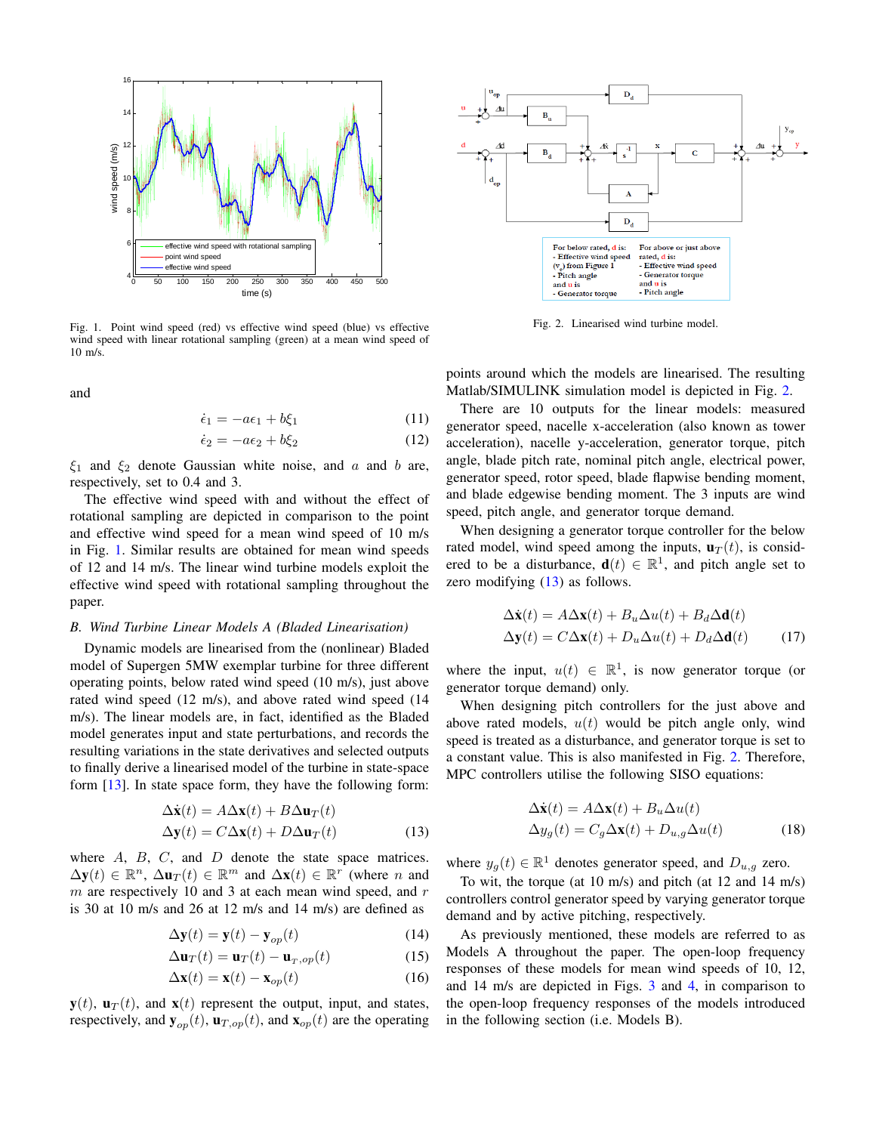

<span id="page-2-0"></span>Fig. 1. Point wind speed (red) vs effective wind speed (blue) vs effective wind speed with linear rotational sampling (green) at a mean wind speed of  $10 \text{ m/s}$ 

and

$$
\dot{\epsilon}_1 = -a\epsilon_1 + b\xi_1 \tag{11}
$$

$$
\dot{\epsilon}_2 = -a\epsilon_2 + b\xi_2 \tag{12}
$$

 $\xi_1$  and  $\xi_2$  denote Gaussian white noise, and a and b are, respectively, set to 0.4 and 3.

The effective wind speed with and without the effect of rotational sampling are depicted in comparison to the point and effective wind speed for a mean wind speed of 10 m/s in Fig. [1.](#page-2-0) Similar results are obtained for mean wind speeds of 12 and 14 m/s. The linear wind turbine models exploit the effective wind speed with rotational sampling throughout the paper.

## <span id="page-2-3"></span>*B. Wind Turbine Linear Models A (Bladed Linearisation)*

Dynamic models are linearised from the (nonlinear) Bladed model of Supergen 5MW exemplar turbine for three different operating points, below rated wind speed (10 m/s), just above rated wind speed (12 m/s), and above rated wind speed (14 m/s). The linear models are, in fact, identified as the Bladed model generates input and state perturbations, and records the resulting variations in the state derivatives and selected outputs to finally derive a linearised model of the turbine in state-space form [\[13\]](#page-5-13). In state space form, they have the following form:

$$
\Delta \dot{\mathbf{x}}(t) = A \Delta \mathbf{x}(t) + B \Delta \mathbf{u}_T(t)
$$
  
\n
$$
\Delta \mathbf{y}(t) = C \Delta \mathbf{x}(t) + D \Delta \mathbf{u}_T(t)
$$
\n(13)

where  $A$ ,  $B$ ,  $C$ , and  $D$  denote the state space matrices.  $\Delta y(t) \in \mathbb{R}^n$ ,  $\Delta u_T(t) \in \mathbb{R}^m$  and  $\Delta x(t) \in \mathbb{R}^r$  (where n and  $m$  are respectively 10 and 3 at each mean wind speed, and  $r$ is 30 at 10 m/s and 26 at 12 m/s and 14 m/s) are defined as

$$
\Delta \mathbf{y}(t) = \mathbf{y}(t) - \mathbf{y}_{op}(t)
$$
 (14)

$$
\Delta \mathbf{u}_T(t) = \mathbf{u}_T(t) - \mathbf{u}_{T,op}(t) \tag{15}
$$

$$
\Delta \mathbf{x}(t) = \mathbf{x}(t) - \mathbf{x}_{op}(t) \tag{16}
$$

 $y(t)$ ,  $u_T(t)$ , and  $x(t)$  represent the output, input, and states, respectively, and  $\mathbf{y}_{op}(t)$ ,  $\mathbf{u}_{T,op}(t)$ , and  $\mathbf{x}_{op}(t)$  are the operating



<span id="page-2-1"></span>Fig. 2. Linearised wind turbine model.

points around which the models are linearised. The resulting Matlab/SIMULINK simulation model is depicted in Fig. [2.](#page-2-1)

There are 10 outputs for the linear models: measured generator speed, nacelle x-acceleration (also known as tower acceleration), nacelle y-acceleration, generator torque, pitch angle, blade pitch rate, nominal pitch angle, electrical power, generator speed, rotor speed, blade flapwise bending moment, and blade edgewise bending moment. The 3 inputs are wind speed, pitch angle, and generator torque demand.

When designing a generator torque controller for the below rated model, wind speed among the inputs,  $\mathbf{u}_T(t)$ , is considered to be a disturbance,  $\mathbf{d}(t) \in \mathbb{R}^1$ , and pitch angle set to zero modifying  $(13)$  as follows.

$$
\Delta \dot{\mathbf{x}}(t) = A \Delta \mathbf{x}(t) + B_u \Delta u(t) + B_d \Delta \mathbf{d}(t)
$$
  
\n
$$
\Delta \mathbf{y}(t) = C \Delta \mathbf{x}(t) + D_u \Delta u(t) + D_d \Delta \mathbf{d}(t)
$$
 (17)

where the input,  $u(t) \in \mathbb{R}^1$ , is now generator torque (or generator torque demand) only.

When designing pitch controllers for the just above and above rated models,  $u(t)$  would be pitch angle only, wind speed is treated as a disturbance, and generator torque is set to a constant value. This is also manifested in Fig. [2.](#page-2-1) Therefore, MPC controllers utilise the following SISO equations:

<span id="page-2-4"></span>
$$
\Delta \dot{\mathbf{x}}(t) = A \Delta \mathbf{x}(t) + B_u \Delta u(t)
$$
  
\n
$$
\Delta y_g(t) = C_g \Delta \mathbf{x}(t) + D_{u,g} \Delta u(t)
$$
\n(18)

<span id="page-2-2"></span>where  $y_g(t) \in \mathbb{R}^1$  denotes generator speed, and  $D_{u,g}$  zero.

To wit, the torque (at 10 m/s) and pitch (at 12 and 14 m/s) controllers control generator speed by varying generator torque demand and by active pitching, respectively.

As previously mentioned, these models are referred to as Models A throughout the paper. The open-loop frequency responses of these models for mean wind speeds of 10, 12, and 14 m/s are depicted in Figs. [3](#page-3-1) and [4,](#page-3-2) in comparison to the open-loop frequency responses of the models introduced in the following section (i.e. Models B).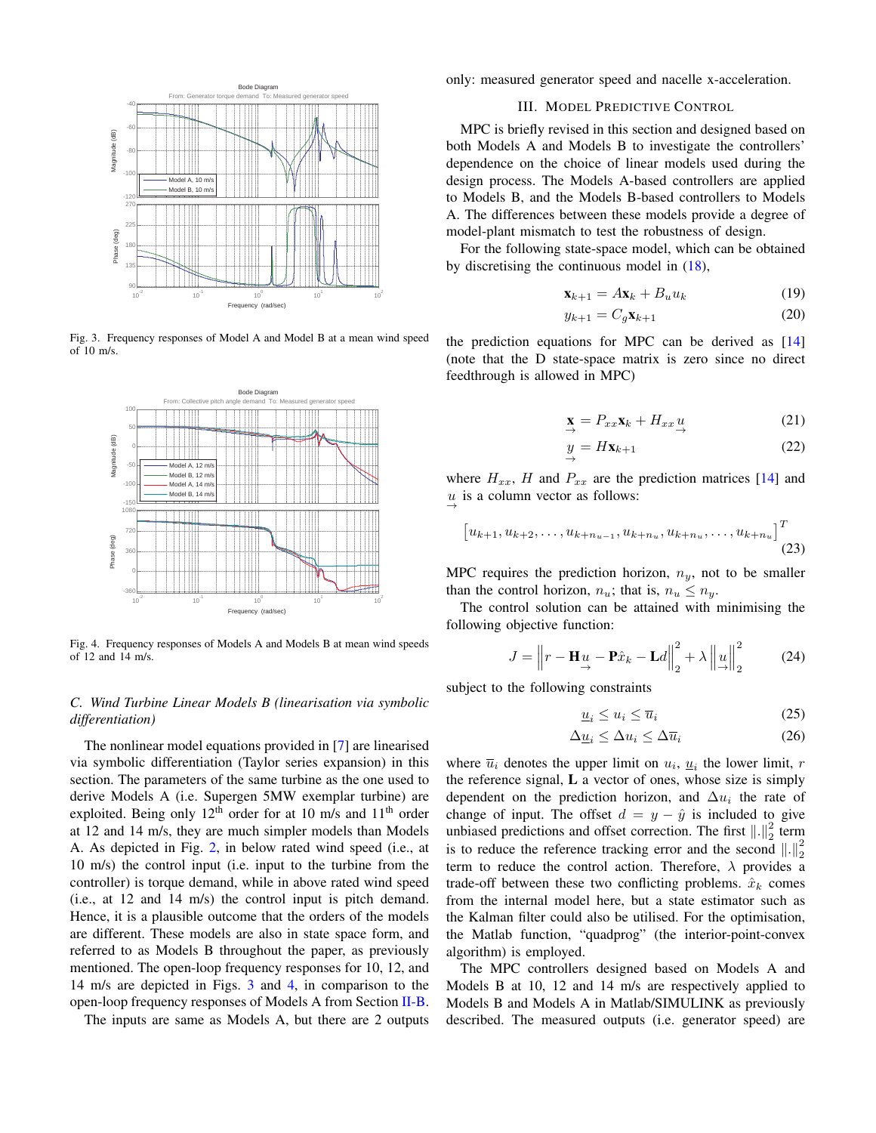

<span id="page-3-1"></span>Fig. 3. Frequency responses of Model A and Model B at a mean wind speed of 10 m/s.



<span id="page-3-2"></span>Fig. 4. Frequency responses of Models A and Models B at mean wind speeds of 12 and 14 m/s.

# *C. Wind Turbine Linear Models B (linearisation via symbolic differentiation)*

The nonlinear model equations provided in [\[7\]](#page-5-6) are linearised via symbolic differentiation (Taylor series expansion) in this section. The parameters of the same turbine as the one used to derive Models A (i.e. Supergen 5MW exemplar turbine) are exploited. Being only  $12<sup>th</sup>$  order for at 10 m/s and  $11<sup>th</sup>$  order at 12 and 14 m/s, they are much simpler models than Models A. As depicted in Fig. [2,](#page-2-1) in below rated wind speed (i.e., at 10 m/s) the control input (i.e. input to the turbine from the controller) is torque demand, while in above rated wind speed (i.e., at 12 and 14 m/s) the control input is pitch demand. Hence, it is a plausible outcome that the orders of the models are different. These models are also in state space form, and referred to as Models B throughout the paper, as previously mentioned. The open-loop frequency responses for 10, 12, and 14 m/s are depicted in Figs. [3](#page-3-1) and [4,](#page-3-2) in comparison to the open-loop frequency responses of Models A from Section [II-B.](#page-2-3)

The inputs are same as Models A, but there are 2 outputs

<span id="page-3-0"></span>only: measured generator speed and nacelle x-acceleration.

## III. MODEL PREDICTIVE CONTROL

MPC is briefly revised in this section and designed based on both Models A and Models B to investigate the controllers' dependence on the choice of linear models used during the design process. The Models A-based controllers are applied to Models B, and the Models B-based controllers to Models A. The differences between these models provide a degree of model-plant mismatch to test the robustness of design.

For the following state-space model, which can be obtained by discretising the continuous model in [\(18\)](#page-2-4),

$$
\mathbf{x}_{k+1} = A\mathbf{x}_k + B_u u_k \tag{19}
$$

$$
y_{k+1} = C_g \mathbf{x}_{k+1} \tag{20}
$$

the prediction equations for MPC can be derived as [\[14\]](#page-5-14) (note that the D state-space matrix is zero since no direct feedthrough is allowed in MPC)

$$
\mathbf{x} = P_{xx}\mathbf{x}_k + H_{xx}\underset{\rightarrow}{u} \tag{21}
$$

$$
y = H\mathbf{x}_{k+1} \tag{22}
$$

where  $H_{xx}$ , H and  $P_{xx}$  are the prediction matrices [\[14\]](#page-5-14) and  $u \rightarrow$  is a column vector as follows:

$$
\begin{bmatrix} u_{k+1}, u_{k+2}, \dots, u_{k+n_{u-1}}, u_{k+n_u}, u_{k+n_u}, \dots, u_{k+n_u} \end{bmatrix}^T
$$
\n(23)

MPC requires the prediction horizon,  $n_y$ , not to be smaller than the control horizon,  $n_u$ ; that is,  $n_u \leq n_u$ .

The control solution can be attained with minimising the following objective function:

$$
J = \left\| r - \mathbf{H}_{\frac{1}{\rightarrow}} - \mathbf{P}\hat{x}_k - \mathbf{L}d \right\|_2^2 + \lambda \left\| \mathbf{u} \right\|_2^2 \tag{24}
$$

subject to the following constraints

$$
\underline{u}_i \le u_i \le \overline{u}_i \tag{25}
$$

$$
\Delta \underline{u}_i \le \Delta u_i \le \Delta \overline{u}_i \tag{26}
$$

where  $\overline{u}_i$  denotes the upper limit on  $u_i$ ,  $\underline{u}_i$  the lower limit, r the reference signal, L a vector of ones, whose size is simply dependent on the prediction horizon, and  $\Delta u_i$  the rate of change of input. The offset  $d = y - \hat{y}$  is included to give unbiased predictions and offset correction. The first  $\left\| . \right\|_2^2$  term is to reduce the reference tracking error and the second  $\left\| \cdot \right\|_2^2$ term to reduce the control action. Therefore,  $\lambda$  provides a trade-off between these two conflicting problems.  $\hat{x}_k$  comes from the internal model here, but a state estimator such as the Kalman filter could also be utilised. For the optimisation, the Matlab function, "quadprog" (the interior-point-convex algorithm) is employed.

The MPC controllers designed based on Models A and Models B at 10, 12 and 14 m/s are respectively applied to Models B and Models A in Matlab/SIMULINK as previously described. The measured outputs (i.e. generator speed) are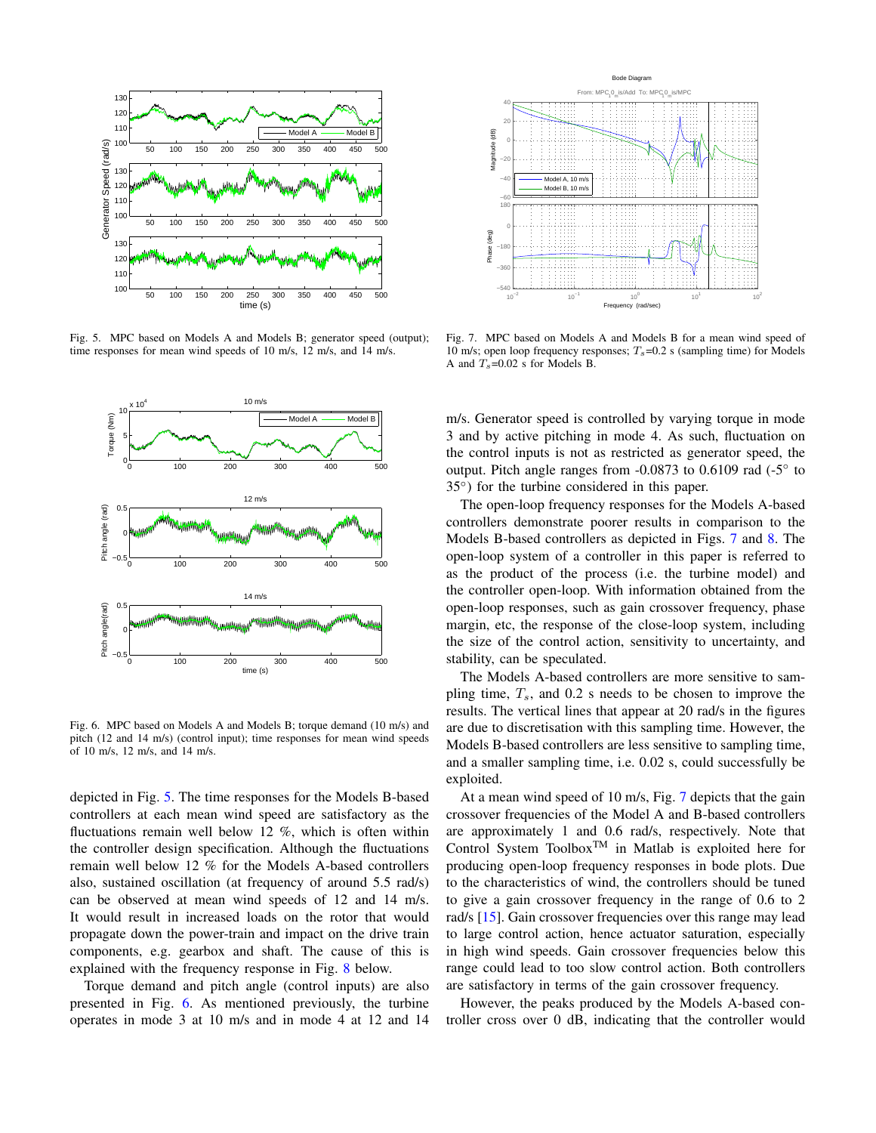

<span id="page-4-0"></span>Fig. 5. MPC based on Models A and Models B; generator speed (output); time responses for mean wind speeds of 10 m/s, 12 m/s, and 14 m/s.



<span id="page-4-1"></span>Fig. 6. MPC based on Models A and Models B; torque demand (10 m/s) and pitch (12 and 14 m/s) (control input); time responses for mean wind speeds of 10 m/s, 12 m/s, and 14 m/s.

depicted in Fig. [5.](#page-4-0) The time responses for the Models B-based controllers at each mean wind speed are satisfactory as the fluctuations remain well below 12 %, which is often within the controller design specification. Although the fluctuations remain well below 12 % for the Models A-based controllers also, sustained oscillation (at frequency of around 5.5 rad/s) can be observed at mean wind speeds of 12 and 14 m/s. It would result in increased loads on the rotor that would propagate down the power-train and impact on the drive train components, e.g. gearbox and shaft. The cause of this is explained with the frequency response in Fig. [8](#page-5-15) below.

Torque demand and pitch angle (control inputs) are also presented in Fig. [6.](#page-4-1) As mentioned previously, the turbine operates in mode 3 at 10 m/s and in mode 4 at 12 and 14



<span id="page-4-2"></span>Fig. 7. MPC based on Models A and Models B for a mean wind speed of 10 m/s; open loop frequency responses;  $T_s$ =0.2 s (sampling time) for Models A and  $T_s$ =0.02 s for Models B.

m/s. Generator speed is controlled by varying torque in mode 3 and by active pitching in mode 4. As such, fluctuation on the control inputs is not as restricted as generator speed, the output. Pitch angle ranges from -0.0873 to 0.6109 rad (-5° to 35◦ ) for the turbine considered in this paper.

The open-loop frequency responses for the Models A-based controllers demonstrate poorer results in comparison to the Models B-based controllers as depicted in Figs. [7](#page-4-2) and [8.](#page-5-15) The open-loop system of a controller in this paper is referred to as the product of the process (i.e. the turbine model) and the controller open-loop. With information obtained from the open-loop responses, such as gain crossover frequency, phase margin, etc, the response of the close-loop system, including the size of the control action, sensitivity to uncertainty, and stability, can be speculated.

The Models A-based controllers are more sensitive to sampling time,  $T_s$ , and 0.2 s needs to be chosen to improve the results. The vertical lines that appear at 20 rad/s in the figures are due to discretisation with this sampling time. However, the Models B-based controllers are less sensitive to sampling time, and a smaller sampling time, i.e. 0.02 s, could successfully be exploited.

At a mean wind speed of 10 m/s, Fig. [7](#page-4-2) depicts that the gain crossover frequencies of the Model A and B-based controllers are approximately 1 and 0.6 rad/s, respectively. Note that Control System Toolbox<sup>TM</sup> in Matlab is exploited here for producing open-loop frequency responses in bode plots. Due to the characteristics of wind, the controllers should be tuned to give a gain crossover frequency in the range of 0.6 to 2 rad/s [\[15\]](#page-5-16). Gain crossover frequencies over this range may lead to large control action, hence actuator saturation, especially in high wind speeds. Gain crossover frequencies below this range could lead to too slow control action. Both controllers are satisfactory in terms of the gain crossover frequency.

However, the peaks produced by the Models A-based controller cross over 0 dB, indicating that the controller would